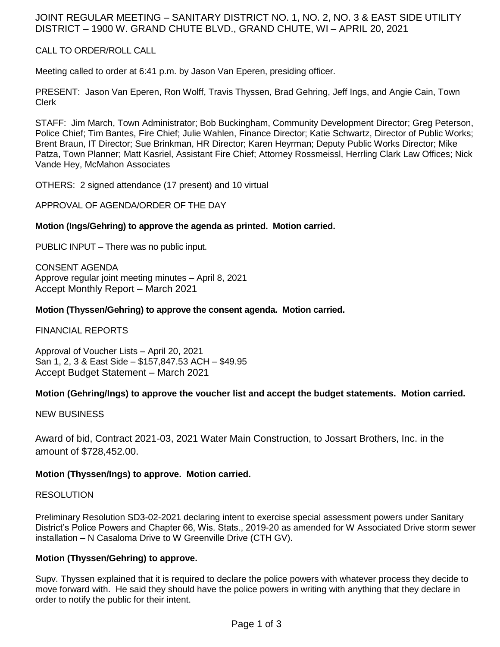# JOINT REGULAR MEETING – SANITARY DISTRICT NO. 1, NO. 2, NO. 3 & EAST SIDE UTILITY DISTRICT – 1900 W. GRAND CHUTE BLVD., GRAND CHUTE, WI – APRIL 20, 2021

# CALL TO ORDER/ROLL CALL

Meeting called to order at 6:41 p.m. by Jason Van Eperen, presiding officer.

PRESENT: Jason Van Eperen, Ron Wolff, Travis Thyssen, Brad Gehring, Jeff Ings, and Angie Cain, Town Clerk

STAFF: Jim March, Town Administrator; Bob Buckingham, Community Development Director; Greg Peterson, Police Chief; Tim Bantes, Fire Chief; Julie Wahlen, Finance Director; Katie Schwartz, Director of Public Works; Brent Braun, IT Director; Sue Brinkman, HR Director; Karen Heyrman; Deputy Public Works Director; Mike Patza, Town Planner; Matt Kasriel, Assistant Fire Chief; Attorney Rossmeissl, Herrling Clark Law Offices; Nick Vande Hey, McMahon Associates

OTHERS: 2 signed attendance (17 present) and 10 virtual

## APPROVAL OF AGENDA/ORDER OF THE DAY

## **Motion (Ings/Gehring) to approve the agenda as printed. Motion carried.**

PUBLIC INPUT – There was no public input.

CONSENT AGENDA Approve regular joint meeting minutes – April 8, 2021 Accept Monthly Report – March 2021

## **Motion (Thyssen/Gehring) to approve the consent agenda. Motion carried.**

FINANCIAL REPORTS

Approval of Voucher Lists – April 20, 2021 San 1, 2, 3 & East Side – \$157,847.53 ACH – \$49.95 Accept Budget Statement – March 2021

# **Motion (Gehring/Ings) to approve the voucher list and accept the budget statements. Motion carried.**

NEW BUSINESS

Award of bid, Contract 2021-03, 2021 Water Main Construction, to Jossart Brothers, Inc. in the amount of \$728,452.00.

# **Motion (Thyssen/Ings) to approve. Motion carried.**

#### RESOLUTION

Preliminary Resolution SD3-02-2021 declaring intent to exercise special assessment powers under Sanitary District's Police Powers and Chapter 66, Wis. Stats., 2019-20 as amended for W Associated Drive storm sewer installation – N Casaloma Drive to W Greenville Drive (CTH GV).

#### **Motion (Thyssen/Gehring) to approve.**

Supv. Thyssen explained that it is required to declare the police powers with whatever process they decide to move forward with. He said they should have the police powers in writing with anything that they declare in order to notify the public for their intent.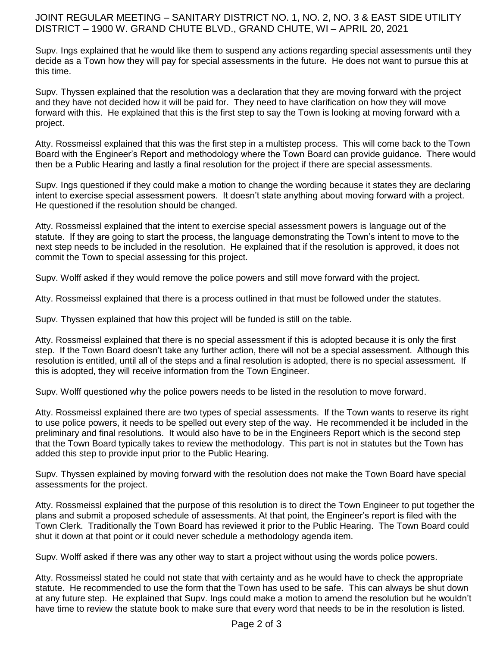# JOINT REGULAR MEETING – SANITARY DISTRICT NO. 1, NO. 2, NO. 3 & EAST SIDE UTILITY DISTRICT – 1900 W. GRAND CHUTE BLVD., GRAND CHUTE, WI – APRIL 20, 2021

Supv. Ings explained that he would like them to suspend any actions regarding special assessments until they decide as a Town how they will pay for special assessments in the future. He does not want to pursue this at this time.

Supv. Thyssen explained that the resolution was a declaration that they are moving forward with the project and they have not decided how it will be paid for. They need to have clarification on how they will move forward with this. He explained that this is the first step to say the Town is looking at moving forward with a project.

Atty. Rossmeissl explained that this was the first step in a multistep process. This will come back to the Town Board with the Engineer's Report and methodology where the Town Board can provide guidance. There would then be a Public Hearing and lastly a final resolution for the project if there are special assessments.

Supv. Ings questioned if they could make a motion to change the wording because it states they are declaring intent to exercise special assessment powers. It doesn't state anything about moving forward with a project. He questioned if the resolution should be changed.

Atty. Rossmeissl explained that the intent to exercise special assessment powers is language out of the statute. If they are going to start the process, the language demonstrating the Town's intent to move to the next step needs to be included in the resolution. He explained that if the resolution is approved, it does not commit the Town to special assessing for this project.

Supv. Wolff asked if they would remove the police powers and still move forward with the project.

Atty. Rossmeissl explained that there is a process outlined in that must be followed under the statutes.

Supv. Thyssen explained that how this project will be funded is still on the table.

Atty. Rossmeissl explained that there is no special assessment if this is adopted because it is only the first step. If the Town Board doesn't take any further action, there will not be a special assessment. Although this resolution is entitled, until all of the steps and a final resolution is adopted, there is no special assessment. If this is adopted, they will receive information from the Town Engineer.

Supv. Wolff questioned why the police powers needs to be listed in the resolution to move forward.

Atty. Rossmeissl explained there are two types of special assessments. If the Town wants to reserve its right to use police powers, it needs to be spelled out every step of the way. He recommended it be included in the preliminary and final resolutions. It would also have to be in the Engineers Report which is the second step that the Town Board typically takes to review the methodology. This part is not in statutes but the Town has added this step to provide input prior to the Public Hearing.

Supv. Thyssen explained by moving forward with the resolution does not make the Town Board have special assessments for the project.

Atty. Rossmeissl explained that the purpose of this resolution is to direct the Town Engineer to put together the plans and submit a proposed schedule of assessments. At that point, the Engineer's report is filed with the Town Clerk. Traditionally the Town Board has reviewed it prior to the Public Hearing. The Town Board could shut it down at that point or it could never schedule a methodology agenda item.

Supv. Wolff asked if there was any other way to start a project without using the words police powers.

Atty. Rossmeissl stated he could not state that with certainty and as he would have to check the appropriate statute. He recommended to use the form that the Town has used to be safe. This can always be shut down at any future step. He explained that Supv. Ings could make a motion to amend the resolution but he wouldn't have time to review the statute book to make sure that every word that needs to be in the resolution is listed.